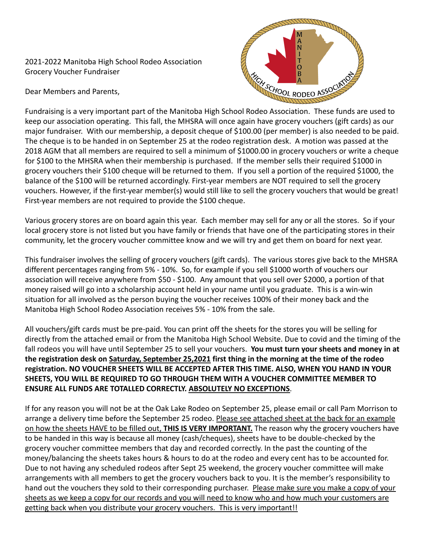2021-2022 Manitoba High School Rodeo Association Grocery Voucher Fundraiser

Dear Members and Parents,



Fundraising is a very important part of the Manitoba High School Rodeo Association. These funds are used to keep our association operating. This fall, the MHSRA will once again have grocery vouchers (gift cards) as our major fundraiser. With our membership, a deposit cheque of \$100.00 (per member) is also needed to be paid. The cheque is to be handed in on September 25 at the rodeo registration desk. A motion was passed at the 2018 AGM that all members are required to sell a minimum of \$1000.00 in grocery vouchers or write a cheque for \$100 to the MHSRA when their membership is purchased. If the member sells their required \$1000 in grocery vouchers their \$100 cheque will be returned to them. If you sell a portion of the required \$1000, the balance of the \$100 will be returned accordingly. First-year members are NOT required to sell the grocery vouchers. However, if the first-year member(s) would still like to sell the grocery vouchers that would be great! First-year members are not required to provide the \$100 cheque.

Various grocery stores are on board again this year. Each member may sell for any or all the stores. So if your local grocery store is not listed but you have family or friends that have one of the participating stores in their community, let the grocery voucher committee know and we will try and get them on board for next year.

This fundraiser involves the selling of grocery vouchers (gift cards). The various stores give back to the MHSRA different percentages ranging from 5% - 10%. So, for example if you sell \$1000 worth of vouchers our association will receive anywhere from \$50 - \$100. Any amount that you sell over \$2000, a portion of that money raised will go into a scholarship account held in your name until you graduate. This is a win-win situation for all involved as the person buying the voucher receives 100% of their money back and the Manitoba High School Rodeo Association receives 5% - 10% from the sale.

All vouchers/gift cards must be pre-paid. You can print off the sheets for the stores you will be selling for directly from the attached email or from the Manitoba High School Website. Due to covid and the timing of the fall rodeos you will have until September 25 to sell your vouchers. **You must turn your sheets and money in at the registration desk on Saturday, September 25,2021 first thing in the morning at the time of the rodeo registration. NO VOUCHER SHEETS WILL BE ACCEPTED AFTER THIS TIME. ALSO, WHEN YOU HAND IN YOUR SHEETS, YOU WILL BE REQUIRED TO GO THROUGH THEM WITH A VOUCHER COMMITTEE MEMBER TO ENSURE ALL FUNDS ARE TOTALLED CORRECTLY. ABSOLUTELY NO EXCEPTIONS**.

If for any reason you will not be at the Oak Lake Rodeo on September 25, please email or call Pam Morrison to arrange a delivery time before the September 25 rodeo. Please see attached sheet at the back for an example on how the sheets HAVE to be filled out, **THIS IS VERY IMPORTANT.** The reason why the grocery vouchers have to be handed in this way is because all money (cash/cheques), sheets have to be double-checked by the grocery voucher committee members that day and recorded correctly. In the past the counting of the money/balancing the sheets takes hours & hours to do at the rodeo and every cent has to be accounted for. Due to not having any scheduled rodeos after Sept 25 weekend, the grocery voucher committee will make arrangements with all members to get the grocery vouchers back to you. It is the member's responsibility to hand out the vouchers they sold to their corresponding purchaser. Please make sure you make a copy of your sheets as we keep a copy for our records and you will need to know who and how much your customers are getting back when you distribute your grocery vouchers. This is very important!!